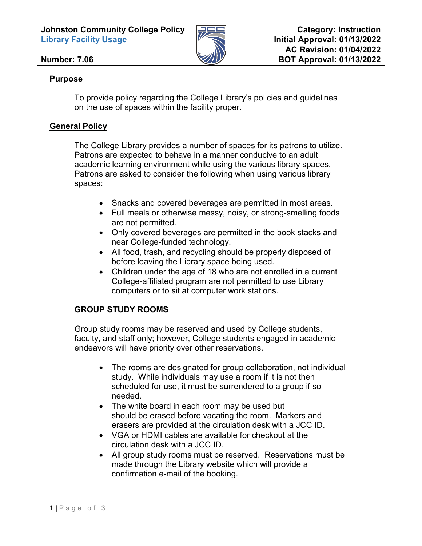**Johnston Community College Policy Library Facility Usage** 



### **Number: 7.06**

### **Purpose**

To provide policy regarding the College Library's policies and guidelines on the use of spaces within the facility proper.

### **General Policy**

The College Library provides a number of spaces for its patrons to utilize. Patrons are expected to behave in a manner conducive to an adult academic learning environment while using the various library spaces. Patrons are asked to consider the following when using various library spaces:

- Snacks and covered beverages are permitted in most areas.
- Full meals or otherwise messy, noisy, or strong-smelling foods are not permitted.
- Only covered beverages are permitted in the book stacks and near College-funded technology.
- All food, trash, and recycling should be properly disposed of before leaving the Library space being used.
- Children under the age of 18 who are not enrolled in a current College-affiliated program are not permitted to use Library computers or to sit at computer work stations.

# **GROUP STUDY ROOMS**

Group study rooms may be reserved and used by College students, faculty, and staff only; however, College students engaged in academic endeavors will have priority over other reservations.

- The rooms are designated for group collaboration, not individual study. While individuals may use a room if it is not then scheduled for use, it must be surrendered to a group if so needed.
- The white board in each room may be used but should be erased before vacating the room. Markers and erasers are provided at the circulation desk with a JCC ID.
- VGA or HDMI cables are available for checkout at the circulation desk with a JCC ID.
- All group study rooms must be reserved. Reservations must be made through the Library website which will provide a confirmation e-mail of the booking.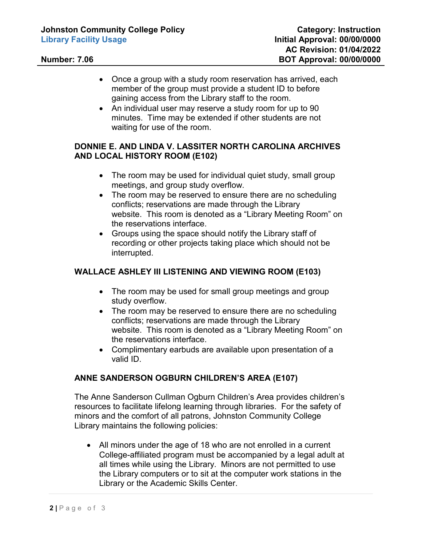- Once a group with a study room reservation has arrived, each member of the group must provide a student ID to before gaining access from the Library staff to the room.
- An individual user may reserve a study room for up to 90 minutes. Time may be extended if other students are not waiting for use of the room.

#### **DONNIE E. AND LINDA V. LASSITER NORTH CAROLINA ARCHIVES AND LOCAL HISTORY ROOM (E102)**

- The room may be used for individual quiet study, small group meetings, and group study overflow.
- The room may be reserved to ensure there are no scheduling conflicts; reservations are made through the Library website. This room is denoted as a "Library Meeting Room" on the reservations interface.
- Groups using the space should notify the Library staff of recording or other projects taking place which should not be interrupted.

# **WALLACE ASHLEY III LISTENING AND VIEWING ROOM (E103)**

- The room may be used for small group meetings and group study overflow.
- The room may be reserved to ensure there are no scheduling conflicts; reservations are made through the Library website. This room is denoted as a "Library Meeting Room" on the reservations interface.
- Complimentary earbuds are available upon presentation of a valid ID.

# **ANNE SANDERSON OGBURN CHILDREN'S AREA (E107)**

The Anne Sanderson Cullman Ogburn Children's Area provides children's resources to facilitate lifelong learning through libraries. For the safety of minors and the comfort of all patrons, Johnston Community College Library maintains the following policies:

• All minors under the age of 18 who are not enrolled in a current College-affiliated program must be accompanied by a legal adult at all times while using the Library. Minors are not permitted to use the Library computers or to sit at the computer work stations in the Library or the Academic Skills Center.